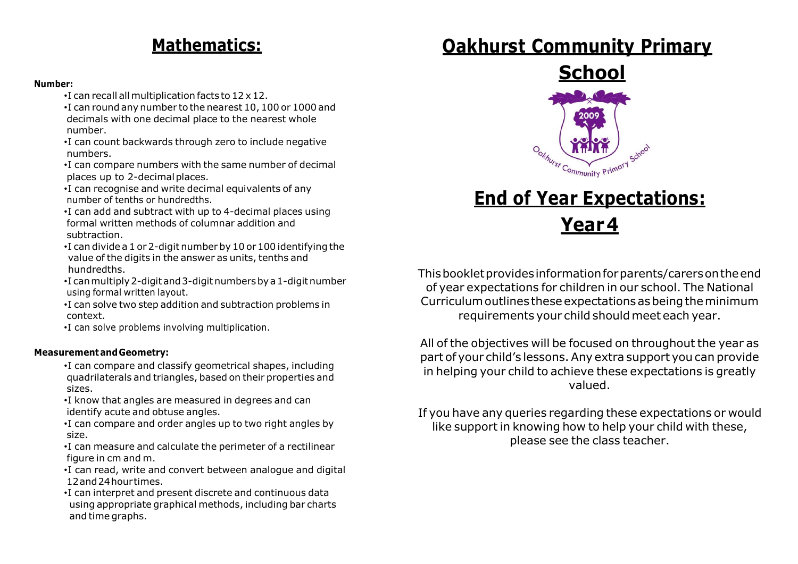#### **Number:**

- •I can recall all multiplication facts to 12 x12.
- •I can round any number to the nearest 10,100 or 1000 and decimals with one decimal place to the nearest whole number.
- •I can count backwards through zero to include negative numbers.
- •I can compare numbers with the same number of decimal places up to 2-decimal places.
- •I can recognise and write decimal equivalents of any number of tenths or hundredths.
- •I can add and subtract with up to 4-decimal places using formal written methods of columnar addition and subtraction.
- •I can divide a 1 or 2-digit number by 10 or 100 identifying the value of the digits in the answer as units, tenths and hundredths.
- •I canmultiply2-digitand3-digitnumbersbya1-digitnumber using formal written layout.
- •I can solve two step addition and subtraction problems in context.
- •I can solve problems involving multiplication.

#### **MeasurementandGeometry:**

- •I can compare and classify geometrical shapes, including quadrilaterals and triangles, based on their properties and sizes.
- •I know that angles are measured in degrees and can identify acute and obtuse angles.
- •I can compare and order angles up to two right angles by size.
- •I can measure and calculate the perimeter of a rectilinear figure in cm and m.
- •I can read, write and convert between analogue and digital 12and24hourtimes.
- •I can interpret and present discrete and continuous data using appropriate graphical methods, including bar charts and time graphs.

## **Mathematics: Oakhurst Community Primary**



# **End of Year Expectations: Year4**

Thisbookletprovidesinformationforparents/carersontheend of year expectations for children in our school. The National Curriculum outlines these expectations as being the minimum requirements your child should meet each year.

All of the objectives will be focused on throughout the year as part of your child's lessons.Any extra support you can provide in helping your child to achieve these expectations is greatly valued.

If you have any queries regarding these expectations or would like support in knowing how to help your child with these, please see the class teacher.